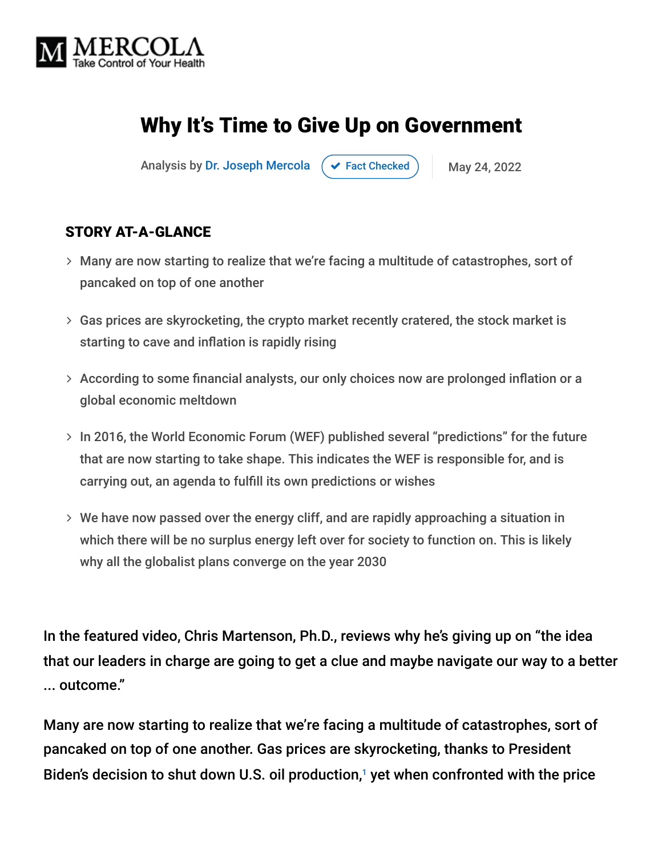

# Why It's Time to Give Up on Government

Analysis by [Dr. Joseph Mercola](https://www.mercola.com/forms/background.htm)  $\left( \vee \right)$  [Fact Checked](javascript:void(0))  $\left( \right)$  May 24, 2022

#### STORY AT-A-GLANCE

- Many are now starting to realize that we're facing a multitude of catastrophes, sort of pancaked on top of one another
- $>$  Gas prices are skyrocketing, the crypto market recently cratered, the stock market is starting to cave and inflation is rapidly rising
- According to some financial analysts, our only choices now are prolonged inflation or a global economic meltdown
- $>$  In 2016, the World Economic Forum (WEF) published several "predictions" for the future that are now starting to take shape. This indicates the WEF is responsible for, and is carrying out, an agenda to fulfill its own predictions or wishes
- We have now passed over the energy cliff, and are rapidly approaching a situation in which there will be no surplus energy left over for society to function on. This is likely why all the globalist plans converge on the year 2030

In the featured video, Chris Martenson, Ph.D., reviews why he's giving up on "the idea that our leaders in charge are going to get a clue and maybe navigate our way to a better ... outcome."

Many are now starting to realize that we're facing a multitude of catastrophes, sort of pancaked on top of one another. Gas prices are skyrocketing, thanks to President Biden's decision to shut down U.S. oil production, $1$  yet when confronted with the price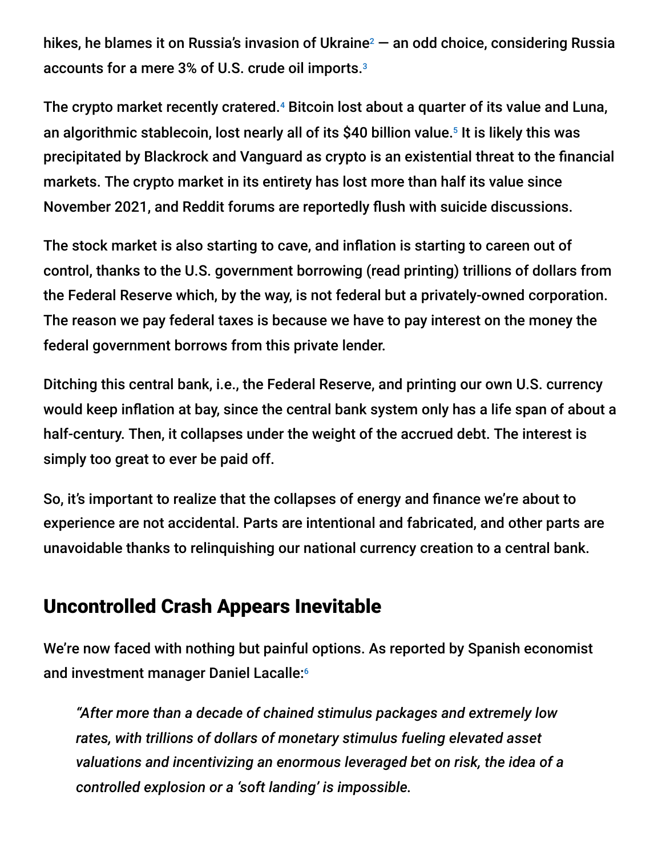hikes, he blames it on Russia's invasion of Ukraine $^2$  — an odd choice, considering Russia accounts for a mere 3% of U.S. crude oil imports. 3

The crypto market recently cratered.<sup>4</sup> Bitcoin lost about a quarter of its value and Luna, an algorithmic stablecoin, lost nearly all of its \$40 billion value.<sup>5</sup> It is likely this was precipitated by Blackrock and Vanguard as crypto is an existential threat to the financial markets. The crypto market in its entirety has lost more than half its value since November 2021, and Reddit forums are reportedly flush with suicide discussions.

The stock market is also starting to cave, and inflation is starting to careen out of control, thanks to the U.S. government borrowing (read printing) trillions of dollars from the Federal Reserve which, by the way, is not federal but a privately-owned corporation. The reason we pay federal taxes is because we have to pay interest on the money the federal government borrows from this private lender.

Ditching this central bank, i.e., the Federal Reserve, and printing our own U.S. currency would keep inflation at bay, since the central bank system only has a life span of about a half-century. Then, it collapses under the weight of the accrued debt. The interest is simply too great to ever be paid off.

So, it's important to realize that the collapses of energy and finance we're about to experience are not accidental. Parts are intentional and fabricated, and other parts are unavoidable thanks to relinquishing our national currency creation to a central bank.

#### Uncontrolled Crash Appears Inevitable

We're now faced with nothing but painful options. As reported by Spanish economist and investment manager Daniel Lacalle: 6

*"After more than a decade of chained stimulus packages and extremely low rates, with trillions of dollars of monetary stimulus fueling elevated asset valuations and incentivizing an enormous leveraged bet on risk, the idea of a controlled explosion or a 'soft landing' is impossible.*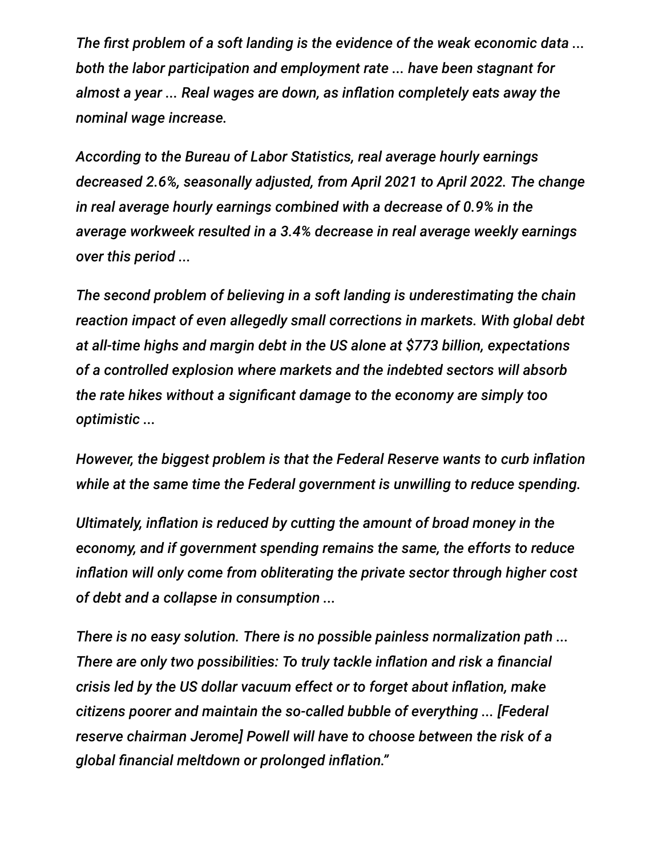*The first problem of a soft landing is the evidence of the weak economic data ... both the labor participation and employment rate ... have been stagnant for almost a year ... Real wages are down, as inflation completely eats away the nominal wage increase.*

*According to the Bureau of Labor Statistics, real average hourly earnings decreased 2.6%, seasonally adjusted, from April 2021 to April 2022. The change in real average hourly earnings combined with a decrease of 0.9% in the average workweek resulted in a 3.4% decrease in real average weekly earnings over this period ...*

*The second problem of believing in a soft landing is underestimating the chain reaction impact of even allegedly small corrections in markets. With global debt at all-time highs and margin debt in the US alone at \$773 billion, expectations of a controlled explosion where markets and the indebted sectors will absorb the rate hikes without a significant damage to the economy are simply too optimistic ...*

*However, the biggest problem is that the Federal Reserve wants to curb inflation while at the same time the Federal government is unwilling to reduce spending.*

*Ultimately, inflation is reduced by cutting the amount of broad money in the economy, and if government spending remains the same, the efforts to reduce inflation will only come from obliterating the private sector through higher cost of debt and a collapse in consumption ...*

*There is no easy solution. There is no possible painless normalization path ... There are only two possibilities: To truly tackle inflation and risk a financial crisis led by the US dollar vacuum effect or to forget about inflation, make citizens poorer and maintain the so-called bubble of everything ... [Federal reserve chairman Jerome] Powell will have to choose between the risk of a global financial meltdown or prolonged inflation."*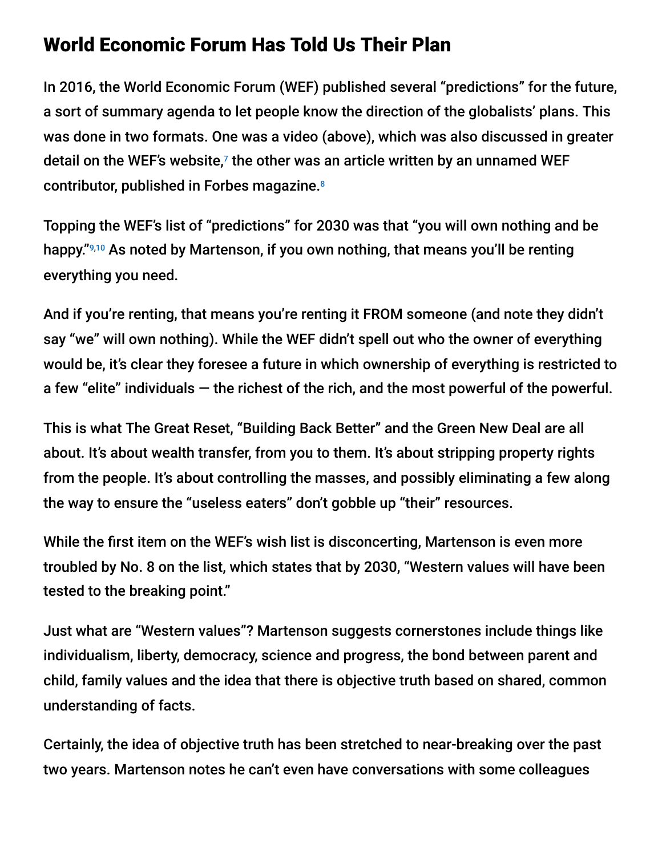### World Economic Forum Has Told Us Their Plan

In 2016, the World Economic Forum (WEF) published several "predictions" for the future, a sort of summary agenda to let people know the direction of the globalists' plans. This was done in two formats. One was a video (above), which was also discussed in greater detail on the WEF's website, $7$  the other was an article written by an unnamed WEF contributor, published in Forbes magazine. 8

Topping the WEF's list of "predictions" for 2030 was that "you will own nothing and be happy."9,10 As noted by Martenson, if you own nothing, that means you'll be renting everything you need.

And if you're renting, that means you're renting it FROM someone (and note they didn't say "we" will own nothing). While the WEF didn't spell out who the owner of everything would be, it's clear they foresee a future in which ownership of everything is restricted to a few "elite" individuals — the richest of the rich, and the most powerful of the powerful.

This is what The Great Reset, "Building Back Better" and the Green New Deal are all about. It's about wealth transfer, from you to them. It's about stripping property rights from the people. It's about controlling the masses, and possibly eliminating a few along the way to ensure the "useless eaters" don't gobble up "their" resources.

While the first item on the WEF's wish list is disconcerting, Martenson is even more troubled by No. 8 on the list, which states that by 2030, "Western values will have been tested to the breaking point."

Just what are "Western values"? Martenson suggests cornerstones include things like individualism, liberty, democracy, science and progress, the bond between parent and child, family values and the idea that there is objective truth based on shared, common understanding of facts.

Certainly, the idea of objective truth has been stretched to near-breaking over the past two years. Martenson notes he can't even have conversations with some colleagues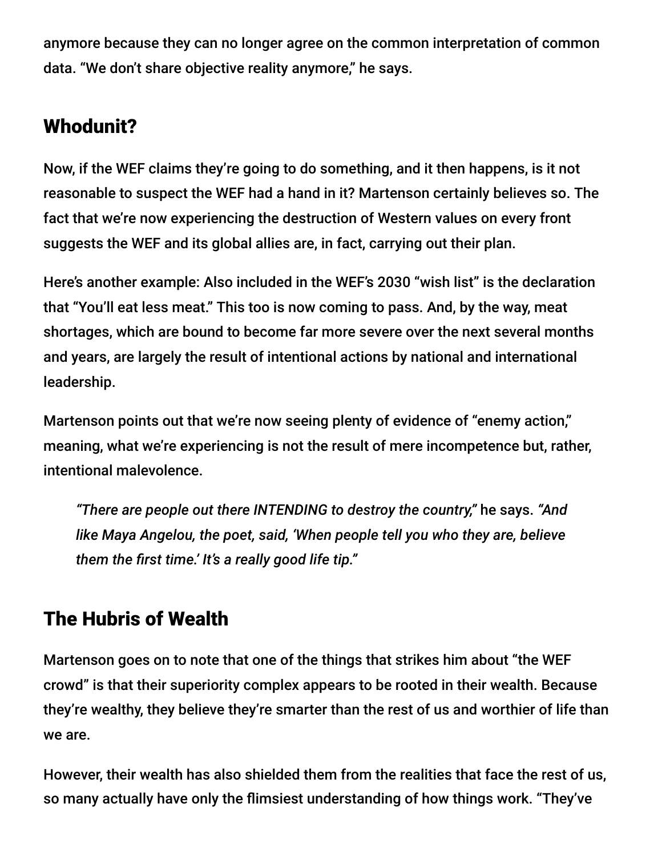anymore because they can no longer agree on the common interpretation of common data. "We don't share objective reality anymore," he says.

## Whodunit?

Now, if the WEF claims they're going to do something, and it then happens, is it not reasonable to suspect the WEF had a hand in it? Martenson certainly believes so. The fact that we're now experiencing the destruction of Western values on every front suggests the WEF and its global allies are, in fact, carrying out their plan.

Here's another example: Also included in the WEF's 2030 "wish list" is the declaration that "You'll eat less meat." This too is now coming to pass. And, by the way, meat shortages, which are bound to become far more severe over the next several months and years, are largely the result of intentional actions by national and international leadership.

Martenson points out that we're now seeing plenty of evidence of "enemy action," meaning, what we're experiencing is not the result of mere incompetence but, rather, intentional malevolence.

*"There are people out there INTENDING to destroy the country,"* he says. *"And like Maya Angelou, the poet, said, 'When people tell you who they are, believe them the first time.' It's a really good life tip."*

# The Hubris of Wealth

Martenson goes on to note that one of the things that strikes him about "the WEF crowd" is that their superiority complex appears to be rooted in their wealth. Because they're wealthy, they believe they're smarter than the rest of us and worthier of life than we are.

However, their wealth has also shielded them from the realities that face the rest of us, so many actually have only the flimsiest understanding of how things work. "They've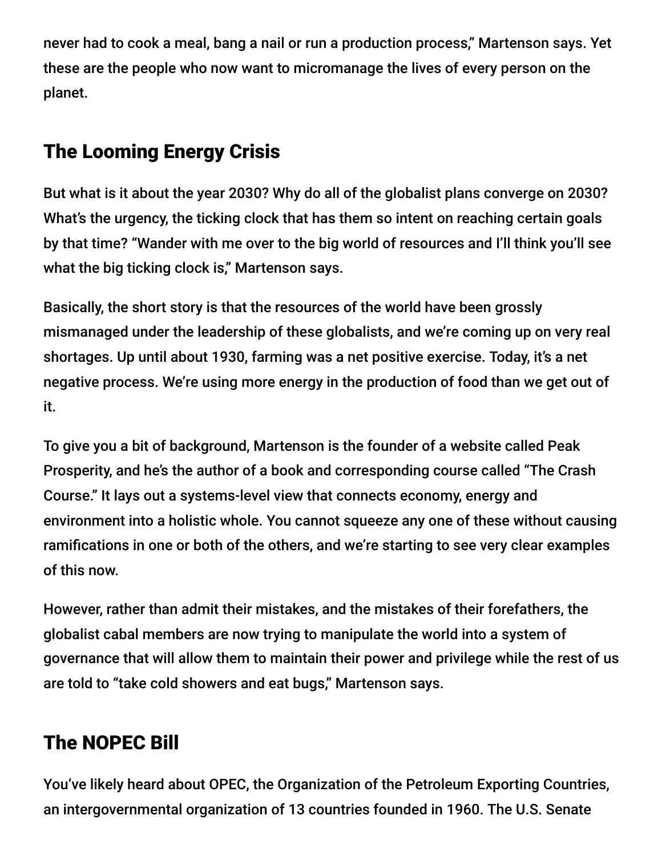never had to cook a meal, bang a nail or run a production process," Martenson says. Yet these are the people who now want to micromanage the lives of every person on the planet.

# The Looming Energy Crisis

But what is it about the year 2030? Why do all of the globalist plans converge on 2030? What's the urgency, the ticking clock that has them so intent on reaching certain goals by that time? "Wander with me over to the big world of resources and I'll think you'll see what the big ticking clock is," Martenson says.

Basically, the short story is that the resources of the world have been grossly mismanaged under the leadership of these globalists, and we're coming up on very real shortages. Up until about 1930, farming was a net positive exercise. Today, it's a net negative process. We're using more energy in the production of food than we get out of it.

To give you a bit of background, Martenson is the founder of a website called Peak Prosperity, and he's the author of a book and corresponding course called "The Crash Course." It lays out a systems-level view that connects economy, energy and environment into a holistic whole. You cannot squeeze any one of these without causing ramifications in one or both of the others, and we're starting to see very clear examples of this now.

However, rather than admit their mistakes, and the mistakes of their forefathers, the globalist cabal members are now trying to manipulate the world into a system of governance that will allow them to maintain their power and privilege while the rest of us are told to "take cold showers and eat bugs," Martenson says.

# The NOPEC Bill

You've likely heard about OPEC, the Organization of the Petroleum Exporting Countries, an intergovernmental organization of 13 countries founded in 1960. The U.S. Senate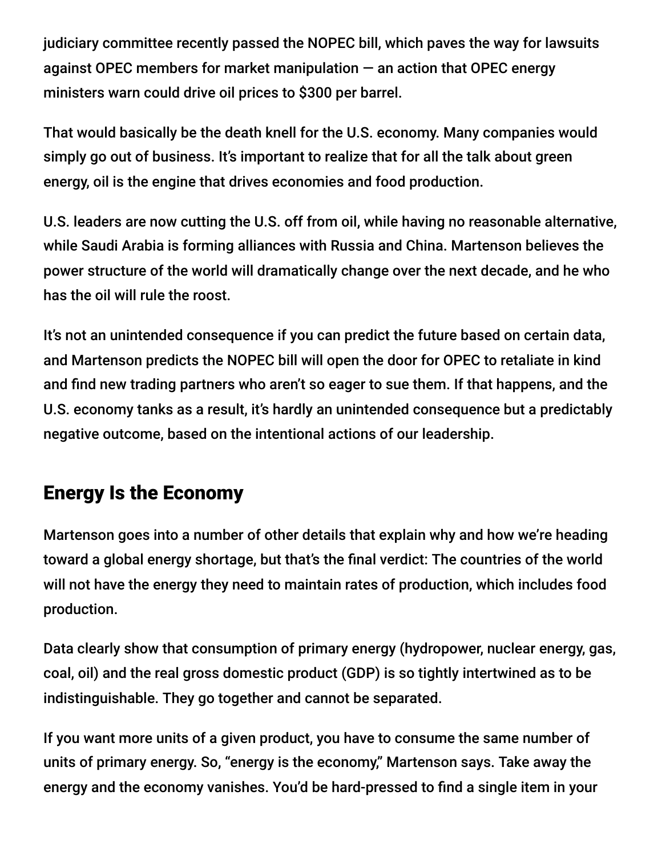judiciary committee recently passed the NOPEC bill, which paves the way for lawsuits against OPEC members for market manipulation  $-$  an action that OPEC energy ministers warn could drive oil prices to \$300 per barrel.

That would basically be the death knell for the U.S. economy. Many companies would simply go out of business. It's important to realize that for all the talk about green energy, oil is the engine that drives economies and food production.

U.S. leaders are now cutting the U.S. off from oil, while having no reasonable alternative, while Saudi Arabia is forming alliances with Russia and China. Martenson believes the power structure of the world will dramatically change over the next decade, and he who has the oil will rule the roost.

It's not an unintended consequence if you can predict the future based on certain data, and Martenson predicts the NOPEC bill will open the door for OPEC to retaliate in kind and find new trading partners who aren't so eager to sue them. If that happens, and the U.S. economy tanks as a result, it's hardly an unintended consequence but a predictably negative outcome, based on the intentional actions of our leadership.

## Energy Is the Economy

Martenson goes into a number of other details that explain why and how we're heading toward a global energy shortage, but that's the final verdict: The countries of the world will not have the energy they need to maintain rates of production, which includes food production.

Data clearly show that consumption of primary energy (hydropower, nuclear energy, gas, coal, oil) and the real gross domestic product (GDP) is so tightly intertwined as to be indistinguishable. They go together and cannot be separated.

If you want more units of a given product, you have to consume the same number of units of primary energy. So, "energy is the economy," Martenson says. Take away the energy and the economy vanishes. You'd be hard-pressed to find a single item in your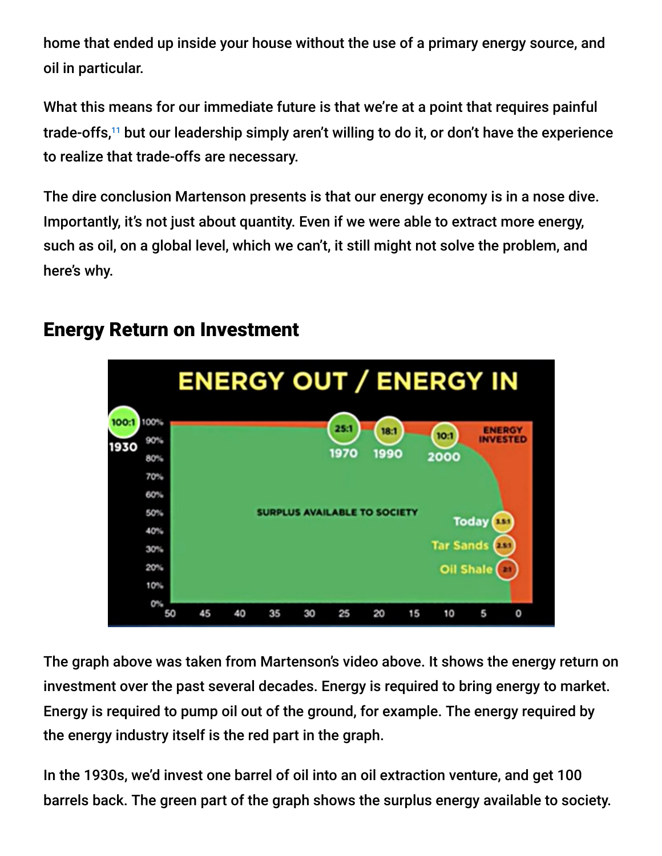home that ended up inside your house without the use of a primary energy source, and oil in particular.

What this means for our immediate future is that we're at a point that requires painful trade-offs,<sup>11</sup> but our leadership simply aren't willing to do it, or don't have the experience to realize that trade-offs are necessary.

The dire conclusion Martenson presents is that our energy economy is in a nose dive. Importantly, it's not just about quantity. Even if we were able to extract more energy, such as oil, on a global level, which we can't, it still might not solve the problem, and here's why.



## Energy Return on Investment

The graph above was taken from Martenson's video above. It shows the energy return on investment over the past several decades. Energy is required to bring energy to market. Energy is required to pump oil out of the ground, for example. The energy required by the energy industry itself is the red part in the graph.

In the 1930s, we'd invest one barrel of oil into an oil extraction venture, and get 100 barrels back. The green part of the graph shows the surplus energy available to society.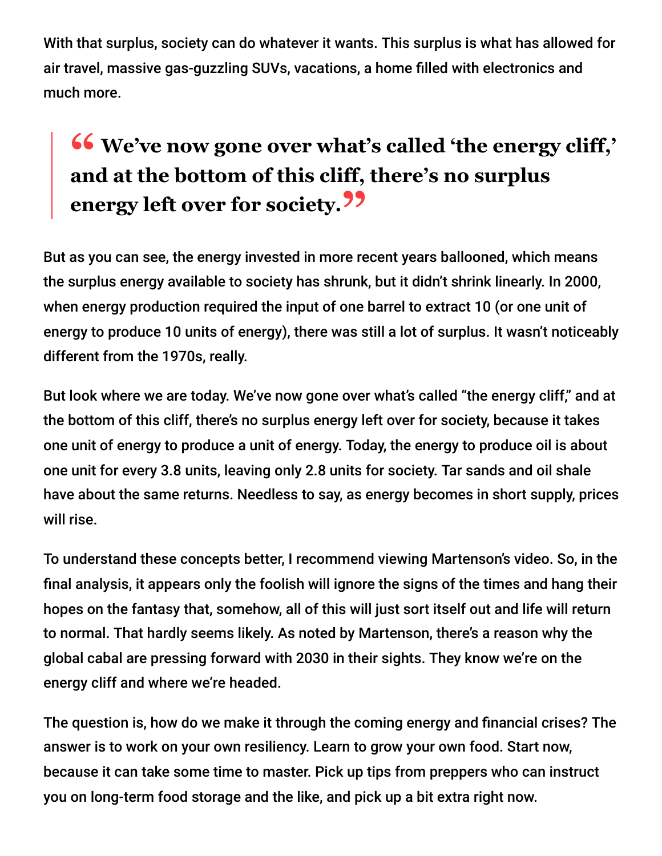With that surplus, society can do whatever it wants. This surplus is what has allowed for air travel, massive gas-guzzling SUVs, vacations, a home filled with electronics and much more.

# **<sup>66</sup>** We've now gone over what's called 'the energy cliff,'<br>and at the bottom of this cliff there's no surplus **and at the bottom of this cliff, there's no surplus energy left over for society."**

But as you can see, the energy invested in more recent years ballooned, which means the surplus energy available to society has shrunk, but it didn't shrink linearly. In 2000, when energy production required the input of one barrel to extract 10 (or one unit of energy to produce 10 units of energy), there was still a lot of surplus. It wasn't noticeably different from the 1970s, really.

But look where we are today. We've now gone over what's called "the energy cliff," and at the bottom of this cliff, there's no surplus energy left over for society, because it takes one unit of energy to produce a unit of energy. Today, the energy to produce oil is about one unit for every 3.8 units, leaving only 2.8 units for society. Tar sands and oil shale have about the same returns. Needless to say, as energy becomes in short supply, prices will rise.

To understand these concepts better, I recommend viewing Martenson's video. So, in the final analysis, it appears only the foolish will ignore the signs of the times and hang their hopes on the fantasy that, somehow, all of this will just sort itself out and life will return to normal. That hardly seems likely. As noted by Martenson, there's a reason why the global cabal are pressing forward with 2030 in their sights. They know we're on the energy cliff and where we're headed.

The question is, how do we make it through the coming energy and financial crises? The answer is to work on your own resiliency. Learn to grow your own food. Start now, because it can take some time to master. Pick up tips from preppers who can instruct you on long-term food storage and the like, and pick up a bit extra right now.